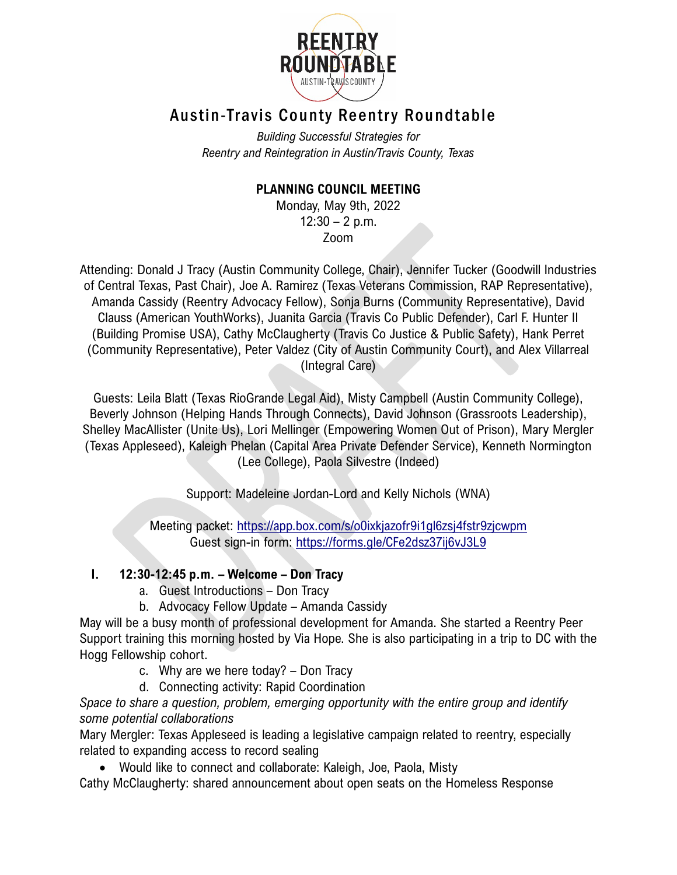

# Austin-Travis County Reentry Roundtable

*Building Successful Strategies for Reentry and Reintegration in Austin/Travis County, Texas*

## **PLANNING COUNCIL MEETING**

Monday, May 9th, 2022  $12:30 - 2$  p.m. Zoom

Attending: Donald J Tracy (Austin Community College, Chair), Jennifer Tucker (Goodwill Industries of Central Texas, Past Chair), Joe A. Ramirez (Texas Veterans Commission, RAP Representative), Amanda Cassidy (Reentry Advocacy Fellow), Sonja Burns (Community Representative), David Clauss (American YouthWorks), Juanita Garcia (Travis Co Public Defender), Carl F. Hunter II (Building Promise USA), Cathy McClaugherty (Travis Co Justice & Public Safety), Hank Perret (Community Representative), Peter Valdez (City of Austin Community Court), and Alex Villarreal (Integral Care)

Guests: Leila Blatt (Texas RioGrande Legal Aid), Misty Campbell (Austin Community College), Beverly Johnson (Helping Hands Through Connects), David Johnson (Grassroots Leadership), Shelley MacAllister (Unite Us), Lori Mellinger (Empowering Women Out of Prison), Mary Mergler (Texas Appleseed), Kaleigh Phelan (Capital Area Private Defender Service), Kenneth Normington (Lee College), Paola Silvestre (Indeed)

Support: Madeleine Jordan-Lord and Kelly Nichols (WNA)

Meeting packet:<https://app.box.com/s/o0ixkjazofr9i1gl6zsj4fstr9zjcwpm> Guest sign-in form:<https://forms.gle/CFe2dsz37ij6vJ3L9>

## **I. 12:30-12:45 p.m. – Welcome – Don Tracy**

- a. Guest Introductions Don Tracy
- b. Advocacy Fellow Update Amanda Cassidy

May will be a busy month of professional development for Amanda. She started a Reentry Peer Support training this morning hosted by Via Hope. She is also participating in a trip to DC with the Hogg Fellowship cohort.

- c. Why are we here today? Don Tracy
- d. Connecting activity: Rapid Coordination

*Space to share a question, problem, emerging opportunity with the entire group and identify some potential collaborations*

Mary Mergler: Texas Appleseed is leading a legislative campaign related to reentry, especially related to expanding access to record sealing

• Would like to connect and collaborate: Kaleigh, Joe, Paola, Misty

Cathy McClaugherty: shared announcement about open seats on the Homeless Response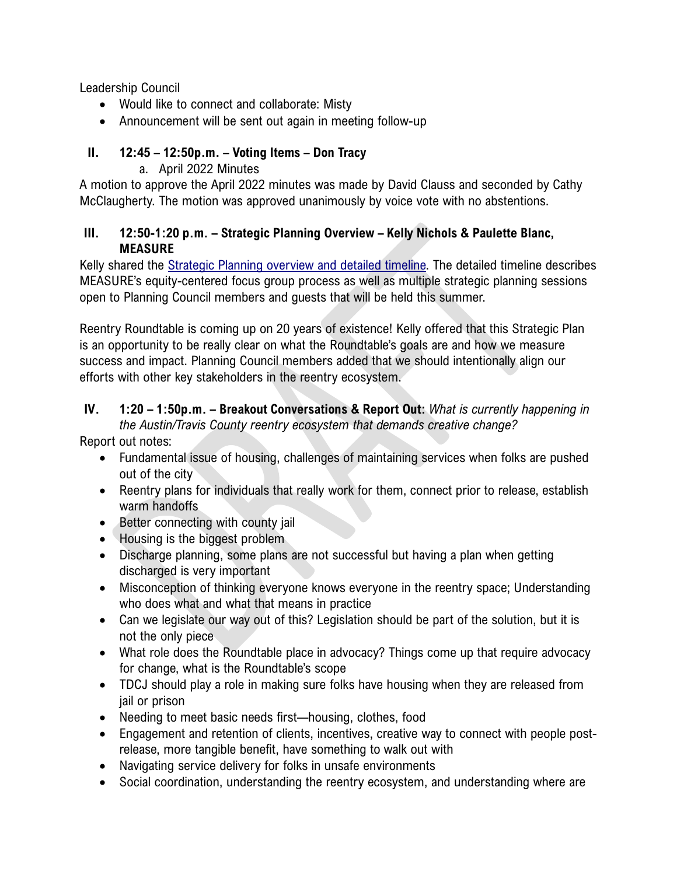Leadership Council

- Would like to connect and collaborate: Misty
- Announcement will be sent out again in meeting follow-up

## **II. 12:45 – 12:50p.m. – Voting Items – Don Tracy**

a. April 2022 Minutes

A motion to approve the April 2022 minutes was made by David Clauss and seconded by Cathy McClaugherty. The motion was approved unanimously by voice vote with no abstentions.

#### **III. 12:50-1:20 p.m. – Strategic Planning Overview – Kelly Nichols & Paulette Blanc, MEASURE**

Kelly shared the [Strategic Planning overview and detailed timeline.](https://app.box.com/s/o0ixkjazofr9i1gl6zsj4fstr9zjcwpm) The detailed timeline describes MEASURE's equity-centered focus group process as well as multiple strategic planning sessions open to Planning Council members and guests that will be held this summer.

Reentry Roundtable is coming up on 20 years of existence! Kelly offered that this Strategic Plan is an opportunity to be really clear on what the Roundtable's goals are and how we measure success and impact. Planning Council members added that we should intentionally align our efforts with other key stakeholders in the reentry ecosystem.

## **IV. 1:20 – 1:50p.m. – Breakout Conversations & Report Out:** *What is currently happening in the Austin/Travis County reentry ecosystem that demands creative change?*

Report out notes:

- Fundamental issue of housing, challenges of maintaining services when folks are pushed out of the city
- Reentry plans for individuals that really work for them, connect prior to release, establish warm handoffs
- Better connecting with county jail
- Housing is the biggest problem
- Discharge planning, some plans are not successful but having a plan when getting discharged is very important
- Misconception of thinking everyone knows everyone in the reentry space; Understanding who does what and what that means in practice
- Can we legislate our way out of this? Legislation should be part of the solution, but it is not the only piece
- What role does the Roundtable place in advocacy? Things come up that require advocacy for change, what is the Roundtable's scope
- TDCJ should play a role in making sure folks have housing when they are released from jail or prison
- Needing to meet basic needs first—housing, clothes, food
- Engagement and retention of clients, incentives, creative way to connect with people postrelease, more tangible benefit, have something to walk out with
- Navigating service delivery for folks in unsafe environments
- Social coordination, understanding the reentry ecosystem, and understanding where are